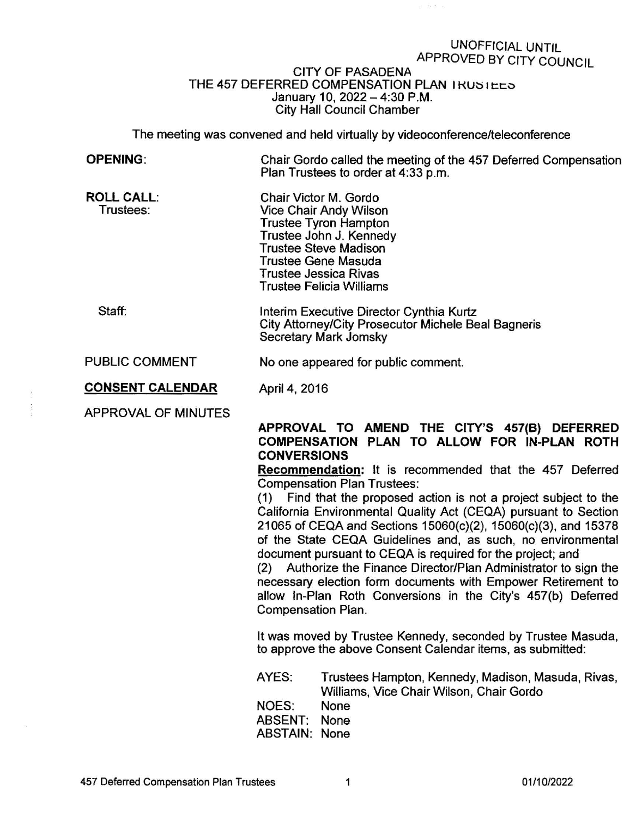## UNOFFICIAL UNTIL APPROVED BY CITY COUNCIL

数量图

## CITY OF PASADENA THE 457 DEFERRED COMPENSATION PLAN I RUSTEES January 10, 2022-4:30 P.M. City Hall Council Chamber

The meeting was convened and held virtually by videoconference/teleconference

| <b>OPENING:</b>                | Chair Gordo called the meeting of the 457 Deferred Compensation<br>Plan Trustees to order at 4:33 p.m.                                                                                                                                                                                                                                                                                                                                                                                                                                                                                                                                                                                                                                                                                                |                                                                                                |
|--------------------------------|-------------------------------------------------------------------------------------------------------------------------------------------------------------------------------------------------------------------------------------------------------------------------------------------------------------------------------------------------------------------------------------------------------------------------------------------------------------------------------------------------------------------------------------------------------------------------------------------------------------------------------------------------------------------------------------------------------------------------------------------------------------------------------------------------------|------------------------------------------------------------------------------------------------|
| <b>ROLL CALL.</b><br>Trustees: | Chair Victor M. Gordo<br>Vice Chair Andy Wilson<br><b>Trustee Tyron Hampton</b><br>Trustee John J. Kennedy<br><b>Trustee Steve Madison</b><br>Trustee Gene Masuda<br><b>Trustee Jessica Rivas</b><br><b>Trustee Felicia Williams</b>                                                                                                                                                                                                                                                                                                                                                                                                                                                                                                                                                                  |                                                                                                |
| Staff:                         | Interim Executive Director Cynthia Kurtz<br><b>City Attorney/City Prosecutor Michele Beal Bagneris</b><br>Secretary Mark Jomsky                                                                                                                                                                                                                                                                                                                                                                                                                                                                                                                                                                                                                                                                       |                                                                                                |
| PUBLIC COMMENT                 | No one appeared for public comment.                                                                                                                                                                                                                                                                                                                                                                                                                                                                                                                                                                                                                                                                                                                                                                   |                                                                                                |
| <b>CONSENT CALENDAR</b>        | April 4, 2016                                                                                                                                                                                                                                                                                                                                                                                                                                                                                                                                                                                                                                                                                                                                                                                         |                                                                                                |
| <b>APPROVAL OF MINUTES</b>     | APPROVAL TO AMEND THE CITY'S 457(B) DEFERRED<br>COMPENSATION PLAN TO ALLOW FOR IN-PLAN ROTH<br><b>CONVERSIONS</b><br><b>Recommendation:</b> It is recommended that the 457 Deferred<br><b>Compensation Plan Trustees:</b><br>(1) Find that the proposed action is not a project subject to the<br>California Environmental Quality Act (CEQA) pursuant to Section<br>21065 of CEQA and Sections 15060(c)(2), 15060(c)(3), and 15378<br>of the State CEQA Guidelines and, as such, no environmental<br>document pursuant to CEQA is required for the project; and<br>Authorize the Finance Director/Plan Administrator to sign the<br>(2)<br>necessary election form documents with Empower Retirement to<br>allow In-Plan Roth Conversions in the City's 457(b) Deferred<br><b>Compensation Plan.</b> |                                                                                                |
|                                | It was moved by Trustee Kennedy, seconded by Trustee Masuda,<br>to approve the above Consent Calendar items, as submitted:                                                                                                                                                                                                                                                                                                                                                                                                                                                                                                                                                                                                                                                                            |                                                                                                |
|                                | AYES:                                                                                                                                                                                                                                                                                                                                                                                                                                                                                                                                                                                                                                                                                                                                                                                                 | Trustees Hampton, Kennedy, Madison, Masuda, Rivas,<br>Williams, Vice Chair Wilson, Chair Gordo |
|                                | <b>NOES:</b><br><b>ABSENT:</b><br><b>ABSTAIN:</b>                                                                                                                                                                                                                                                                                                                                                                                                                                                                                                                                                                                                                                                                                                                                                     | None<br>None<br>None                                                                           |